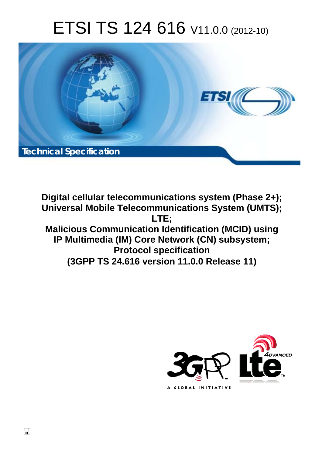# ETSI TS 124 616 V11.0.0 (2012-10)



**Digital cellular telecommunications system (Phase 2+); Universal Mobile Telecommunications System (UMTS); LTE; Malicious Communication Identification (MCID) using IP Multimedia (IM) Core Network (CN) subsystem; Protocol specification (3GPP TS 24.616 version 11.0.0 Release 11)** 



 $\Box$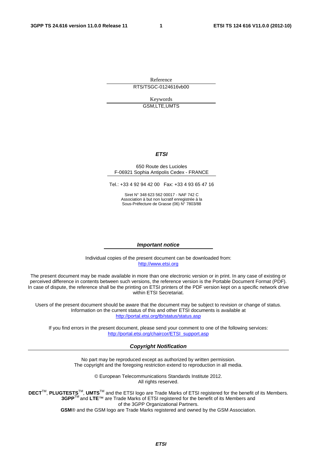Reference RTS/TSGC-0124616vb00

> Keywords GSM,LTE,UMTS

#### *ETSI*

#### 650 Route des Lucioles F-06921 Sophia Antipolis Cedex - FRANCE

Tel.: +33 4 92 94 42 00 Fax: +33 4 93 65 47 16

Siret N° 348 623 562 00017 - NAF 742 C Association à but non lucratif enregistrée à la Sous-Préfecture de Grasse (06) N° 7803/88

#### *Important notice*

Individual copies of the present document can be downloaded from: [http://www.etsi.org](http://www.etsi.org/)

The present document may be made available in more than one electronic version or in print. In any case of existing or perceived difference in contents between such versions, the reference version is the Portable Document Format (PDF). In case of dispute, the reference shall be the printing on ETSI printers of the PDF version kept on a specific network drive within ETSI Secretariat.

Users of the present document should be aware that the document may be subject to revision or change of status. Information on the current status of this and other ETSI documents is available at <http://portal.etsi.org/tb/status/status.asp>

If you find errors in the present document, please send your comment to one of the following services: [http://portal.etsi.org/chaircor/ETSI\\_support.asp](http://portal.etsi.org/chaircor/ETSI_support.asp)

#### *Copyright Notification*

No part may be reproduced except as authorized by written permission. The copyright and the foregoing restriction extend to reproduction in all media.

> © European Telecommunications Standards Institute 2012. All rights reserved.

**DECT**TM, **PLUGTESTS**TM, **UMTS**TM and the ETSI logo are Trade Marks of ETSI registered for the benefit of its Members. **3GPP**TM and **LTE**™ are Trade Marks of ETSI registered for the benefit of its Members and of the 3GPP Organizational Partners.

**GSM**® and the GSM logo are Trade Marks registered and owned by the GSM Association.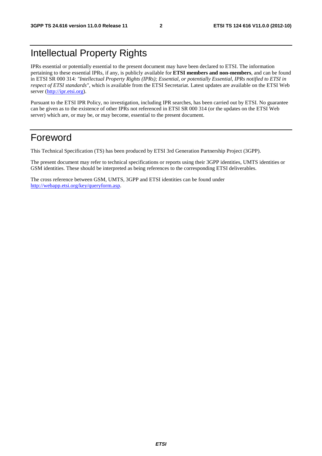# Intellectual Property Rights

IPRs essential or potentially essential to the present document may have been declared to ETSI. The information pertaining to these essential IPRs, if any, is publicly available for **ETSI members and non-members**, and can be found in ETSI SR 000 314: *"Intellectual Property Rights (IPRs); Essential, or potentially Essential, IPRs notified to ETSI in respect of ETSI standards"*, which is available from the ETSI Secretariat. Latest updates are available on the ETSI Web server ([http://ipr.etsi.org\)](http://webapp.etsi.org/IPR/home.asp).

Pursuant to the ETSI IPR Policy, no investigation, including IPR searches, has been carried out by ETSI. No guarantee can be given as to the existence of other IPRs not referenced in ETSI SR 000 314 (or the updates on the ETSI Web server) which are, or may be, or may become, essential to the present document.

### Foreword

This Technical Specification (TS) has been produced by ETSI 3rd Generation Partnership Project (3GPP).

The present document may refer to technical specifications or reports using their 3GPP identities, UMTS identities or GSM identities. These should be interpreted as being references to the corresponding ETSI deliverables.

The cross reference between GSM, UMTS, 3GPP and ETSI identities can be found under [http://webapp.etsi.org/key/queryform.asp.](http://webapp.etsi.org/key/queryform.asp)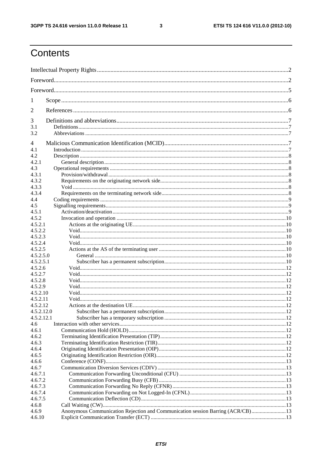$\mathbf{3}$ 

# Contents

| 1                    |                                                                                 |  |  |  |  |
|----------------------|---------------------------------------------------------------------------------|--|--|--|--|
| 2                    |                                                                                 |  |  |  |  |
| 3                    |                                                                                 |  |  |  |  |
| 3.1<br>3.2           |                                                                                 |  |  |  |  |
| 4                    |                                                                                 |  |  |  |  |
| 4.1                  |                                                                                 |  |  |  |  |
| 4.2                  |                                                                                 |  |  |  |  |
| 4.2.1                |                                                                                 |  |  |  |  |
| 4.3                  |                                                                                 |  |  |  |  |
| 4.3.1                |                                                                                 |  |  |  |  |
| 4.3.2                |                                                                                 |  |  |  |  |
| 4.3.3                |                                                                                 |  |  |  |  |
| 4.3.4                |                                                                                 |  |  |  |  |
| 4.4                  |                                                                                 |  |  |  |  |
| 4.5                  |                                                                                 |  |  |  |  |
| 4.5.1                |                                                                                 |  |  |  |  |
| 4.5.2                |                                                                                 |  |  |  |  |
| 4.5.2.1              |                                                                                 |  |  |  |  |
| 4.5.2.2              |                                                                                 |  |  |  |  |
| 4.5.2.3              |                                                                                 |  |  |  |  |
| 4.5.2.4              |                                                                                 |  |  |  |  |
| 4.5.2.5              |                                                                                 |  |  |  |  |
| 4.5.2.5.0            |                                                                                 |  |  |  |  |
| 4.5.2.5.1            |                                                                                 |  |  |  |  |
| 4.5.2.6              |                                                                                 |  |  |  |  |
| 4.5.2.7              |                                                                                 |  |  |  |  |
| 4.5.2.8              |                                                                                 |  |  |  |  |
| 4.5.2.9              |                                                                                 |  |  |  |  |
| 4.5.2.10<br>4.5.2.11 |                                                                                 |  |  |  |  |
| 4.5.2.12             |                                                                                 |  |  |  |  |
| 4.5.2.12.0           |                                                                                 |  |  |  |  |
| 4.5.2.12.1           |                                                                                 |  |  |  |  |
| 4.6                  |                                                                                 |  |  |  |  |
| 4.6.1                |                                                                                 |  |  |  |  |
| 4.6.2                |                                                                                 |  |  |  |  |
| 4.6.3                |                                                                                 |  |  |  |  |
| 4.6.4                |                                                                                 |  |  |  |  |
| 4.6.5                |                                                                                 |  |  |  |  |
| 4.6.6                |                                                                                 |  |  |  |  |
| 4.6.7                |                                                                                 |  |  |  |  |
| 4.6.7.1              |                                                                                 |  |  |  |  |
| 4.6.7.2              |                                                                                 |  |  |  |  |
| 4.6.7.3              |                                                                                 |  |  |  |  |
| 4.6.7.4              |                                                                                 |  |  |  |  |
| 4.6.7.5              |                                                                                 |  |  |  |  |
| 4.6.8                |                                                                                 |  |  |  |  |
| 4.6.9                | Anonymous Communication Rejection and Communication session Barring (ACR/CB) 13 |  |  |  |  |
| 4.6.10               |                                                                                 |  |  |  |  |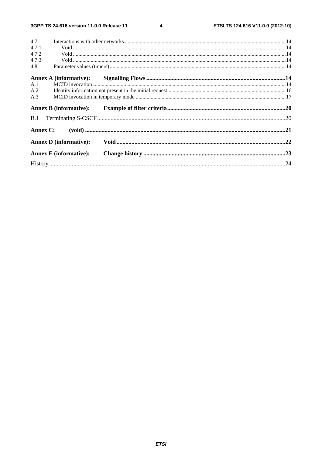$\overline{\mathbf{4}}$ 

| 4.7      |                               |  |
|----------|-------------------------------|--|
| 4.7.1    |                               |  |
| 4.7.2    |                               |  |
| 4.7.3    |                               |  |
| 4.8      |                               |  |
|          |                               |  |
| A.1      |                               |  |
| A.2      |                               |  |
| A.3      |                               |  |
|          | <b>Annex B</b> (informative): |  |
|          |                               |  |
| Annex C: |                               |  |
|          | <b>Annex D</b> (informative): |  |
|          | <b>Annex E</b> (informative): |  |
|          |                               |  |
|          |                               |  |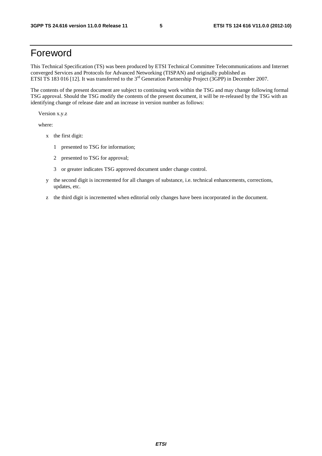### Foreword

This Technical Specification (TS) was been produced by ETSI Technical Committee Telecommunications and Internet converged Services and Protocols for Advanced Networking (TISPAN) and originally published as ETSI TS 183 016 [12]. It was transferred to the 3<sup>rd</sup> Generation Partnership Project (3GPP) in December 2007.

The contents of the present document are subject to continuing work within the TSG and may change following formal TSG approval. Should the TSG modify the contents of the present document, it will be re-released by the TSG with an identifying change of release date and an increase in version number as follows:

Version x.y.z

where:

- x the first digit:
	- 1 presented to TSG for information;
	- 2 presented to TSG for approval;
	- 3 or greater indicates TSG approved document under change control.
- y the second digit is incremented for all changes of substance, i.e. technical enhancements, corrections, updates, etc.
- z the third digit is incremented when editorial only changes have been incorporated in the document.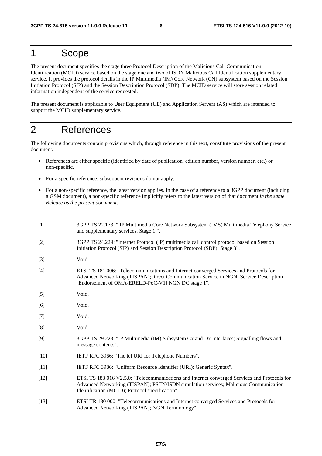### 1 Scope

The present document specifies the stage three Protocol Description of the Malicious Call Communication Identification (MCID) service based on the stage one and two of ISDN Malicious Call Identification supplementary service. It provides the protocol details in the IP Multimedia (IM) Core Network (CN) subsystem based on the Session Initiation Protocol (SIP) and the Session Description Protocol (SDP). The MCID service will store session related information independent of the service requested.

The present document is applicable to User Equipment (UE) and Application Servers (AS) which are intended to support the MCID supplementary service.

## 2 References

The following documents contain provisions which, through reference in this text, constitute provisions of the present document.

- References are either specific (identified by date of publication, edition number, version number, etc.) or non-specific.
- For a specific reference, subsequent revisions do not apply.
- For a non-specific reference, the latest version applies. In the case of a reference to a 3GPP document (including a GSM document), a non-specific reference implicitly refers to the latest version of that document *in the same Release as the present document*.

| $[1]$  | 3GPP TS 22.173: " IP Multimedia Core Network Subsystem (IMS) Multimedia Telephony Service<br>and supplementary services, Stage 1".                                                                                                       |
|--------|------------------------------------------------------------------------------------------------------------------------------------------------------------------------------------------------------------------------------------------|
| $[2]$  | 3GPP TS 24.229: "Internet Protocol (IP) multimedia call control protocol based on Session<br>Initiation Protocol (SIP) and Session Description Protocol (SDP); Stage 3".                                                                 |
| $[3]$  | Void.                                                                                                                                                                                                                                    |
| $[4]$  | ETSI TS 181 006: "Telecommunications and Internet converged Services and Protocols for<br>Advanced Networking (TISPAN); Direct Communication Service in NGN; Service Description<br>[Endorsement of OMA-ERELD-PoC-V1] NGN DC stage 1".   |
| $[5]$  | Void.                                                                                                                                                                                                                                    |
| [6]    | Void.                                                                                                                                                                                                                                    |
| $[7]$  | Void.                                                                                                                                                                                                                                    |
| [8]    | Void.                                                                                                                                                                                                                                    |
| [9]    | 3GPP TS 29.228: "IP Multimedia (IM) Subsystem Cx and Dx Interfaces; Signalling flows and<br>message contents".                                                                                                                           |
| $[10]$ | IETF RFC 3966: "The tel URI for Telephone Numbers".                                                                                                                                                                                      |
| $[11]$ | IETF RFC 3986: "Uniform Resource Identifier (URI): Generic Syntax".                                                                                                                                                                      |
| $[12]$ | ETSI TS 183 016 V2.5.0: "Telecommunications and Internet converged Services and Protocols for<br>Advanced Networking (TISPAN); PSTN/ISDN simulation services; Malicious Communication<br>Identification (MCID); Protocol specification". |
| $[13]$ | ETSI TR 180 000: "Telecommunications and Internet converged Services and Protocols for<br>Advanced Networking (TISPAN); NGN Terminology".                                                                                                |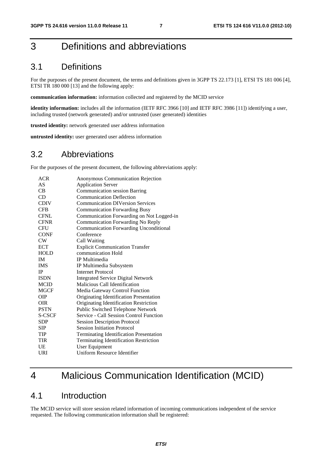# 3 Definitions and abbreviations

### 3.1 Definitions

For the purposes of the present document, the terms and definitions given in 3GPP TS 22.173 [1], ETSI TS 181 006 [4], ETSI TR 180 000 [13] and the following apply:

**communication information:** information collected and registered by the MCID service

**identity information:** includes all the information (IETF RFC 3966 [10] and IETF RFC 3986 [11]) identifying a user, including trusted (network generated) and/or untrusted (user generated) identities

**trusted identity:** network generated user address information

**untrusted identity:** user generated user address information

### 3.2 Abbreviations

For the purposes of the present document, the following abbreviations apply:

| <b>ACR</b>  | Anonymous Communication Rejection              |
|-------------|------------------------------------------------|
| <b>AS</b>   | <b>Application Server</b>                      |
| CB.         | <b>Communication session Barring</b>           |
| CD          | <b>Communication Deflection</b>                |
| <b>CDIV</b> | <b>Communication DIVersion Services</b>        |
| <b>CFB</b>  | <b>Communication Forwarding Busy</b>           |
| <b>CFNL</b> | Communication Forwarding on Not Logged-in      |
| <b>CFNR</b> | Communication Forwarding No Reply              |
| <b>CFU</b>  | <b>Communication Forwarding Unconditional</b>  |
| <b>CONF</b> | Conference                                     |
| CW          | Call Waiting                                   |
| <b>ECT</b>  | <b>Explicit Communication Transfer</b>         |
| <b>HOLD</b> | communication Hold                             |
| <b>IM</b>   | <b>IP</b> Multimedia                           |
| <b>IMS</b>  | IP Multimedia Subsystem                        |
| <b>IP</b>   | <b>Internet Protocol</b>                       |
| <b>ISDN</b> | <b>Integrated Service Digital Network</b>      |
| <b>MCID</b> | Malicious Call Identification                  |
| <b>MGCF</b> | Media Gateway Control Function                 |
| OІР         | Originating Identification Presentation        |
| <b>OIR</b>  | Originating Identification Restriction         |
| <b>PSTN</b> | Public Switched Telephone Network              |
| S-CSCF      | Service - Call Session Control Function        |
| <b>SDP</b>  | <b>Session Description Protocol</b>            |
| <b>SIP</b>  | <b>Session Initiation Protocol</b>             |
| <b>TIP</b>  | <b>Terminating Identification Presentation</b> |
| <b>TIR</b>  | Terminating Identification Restriction         |
| UE          | User Equipment                                 |
| URI         | <b>Uniform Resource Identifier</b>             |

# 4 Malicious Communication Identification (MCID)

### 4.1 Introduction

The MCID service will store session related information of incoming communications independent of the service requested. The following communication information shall be registered: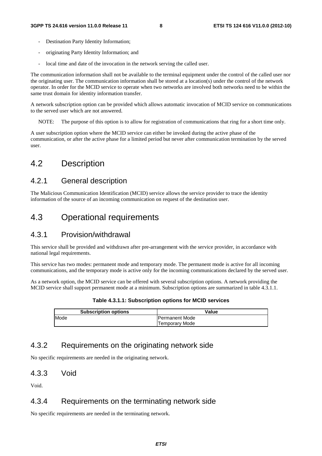- Destination Party Identity Information;
- originating Party Identity Information; and
- local time and date of the invocation in the network serving the called user.

The communication information shall not be available to the terminal equipment under the control of the called user nor the originating user. The communication information shall be stored at a location(s) under the control of the network operator. In order for the MCID service to operate when two networks are involved both networks need to be within the same trust domain for identity information transfer.

A network subscription option can be provided which allows automatic invocation of MCID service on communications to the served user which are not answered.

NOTE: The purpose of this option is to allow for registration of communications that ring for a short time only.

A user subscription option where the MCID service can either be invoked during the active phase of the communication, or after the active phase for a limited period but never after communication termination by the served user.

### 4.2 Description

#### 4.2.1 General description

The Malicious Communication Identification (MCID) service allows the service provider to trace the identity information of the source of an incoming communication on request of the destination user.

### 4.3 Operational requirements

#### 4.3.1 Provision/withdrawal

This service shall be provided and withdrawn after pre-arrangement with the service provider, in accordance with national legal requirements.

This service has two modes: permanent mode and temporary mode. The permanent mode is active for all incoming communications, and the temporary mode is active only for the incoming communications declared by the served user.

As a network option, the MCID service can be offered with several subscription options. A network providing the MCID service shall support permanent mode at a minimum. Subscription options are summarized in table 4.3.1.1.

| <b>Subscription options</b> | Value                  |
|-----------------------------|------------------------|
| Mode                        | <b>IPermanent Mode</b> |
|                             | <b>Temporary Mode</b>  |

#### **Table 4.3.1.1: Subscription options for MCID services**

### 4.3.2 Requirements on the originating network side

No specific requirements are needed in the originating network.

#### 4.3.3 Void

Void.

#### 4.3.4 Requirements on the terminating network side

No specific requirements are needed in the terminating network.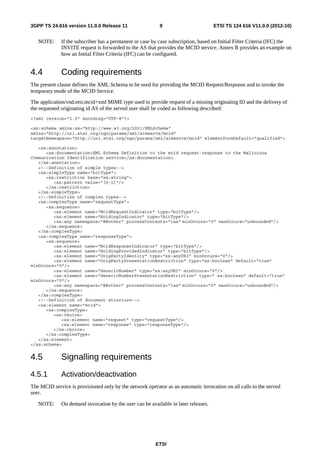NOTE: If the subscriber has a permanent or case by case subscription, based on Initial Filter Criteria (IFC) the INVITE request is forwarded to the AS that provides the MCID service. Annex B provides an example on how an Initial Filter Criteria (IFC) can be configured.

### 4.4 Coding requirements

The present clause defines the XML Schema to be used for providing the MCID Request/Response and to invoke the temporary mode of the MCID Service.

The application/vnd.etsi.mcid+xml MIME type used to provide request of a missing originating ID and the delivery of the requested originating id AS of the served user shall be coded as following described:

```
<?xml version="1.0" encoding="UTF-8"?> 
<xs:schema xmlns:xs="http://www.w3.org/2001/XMLSchema" 
xmlns="http://uri.etsi.org/ngn/params/xml/simservs/mcid" 
targetNamespace="http://uri.etsi.org/ngn/params/xml/simservs/mcid" elementFormDefault="qualified"> 
    <xs:annotation> 
       <xs:documentation>XML Schema Definition to the mcid request-response to the Malicious 
Communication Identification service</xs:documentation> 
    </xs:annotation> 
    <!--Definition of simple types--> 
    <xs:simpleType name="bitType"> 
       <xs:restriction base="xs:string"> 
          <xs:pattern value="[0-1]"/> 
       </xs:restriction> 
    </xs:simpleType> 
    <!--Definition of complex types--> 
    <xs:complexType name="requestType"> 
       <xs:sequence> 
          <xs:element name="McidRequestIndicator" type="bitType"/> 
          <xs:element name="HoldingIndicator" type="bitType"/> 
          <xs:any namespace="##other" processContents="lax" minOccurs="0" maxOccurs="unbounded"/> 
       </xs:sequence> 
    </xs:complexType> 
    <xs:complexType name="responseType"> 
       <xs:sequence> 
          <xs:element name="McidResponseIndicator" type="bitType"/> 
          <xs:element name="HoldingProvidedIndicator" type="bitType"/> 
          <xs:element name="OrigPartyIdentity" type="xs:anyURI" minOccurs="0"/> 
          <xs:element name="OrigPartyPresentationRestriction" type="xs:boolean" default="true" 
minOccurs="0"/> 
          <xs:element name="GenericNumber" type="xs:anyURI" minOccurs="0"/> 
          <xs:element name="GenericNumberPresentationRestriction" type=" xs:boolean" default="true" 
minOccurs="0"/> 
          <xs:any namespace="##other" processContents="lax" minOccurs="0" maxOccurs="unbounded"/> 
       </xs:sequence> 
    </xs:complexType> 
    <!--Definition of document structure--> 
    <xs:element name="mcid"> 
       <xs:complexType> 
          <xs:choice> 
             <xs:element name="request" type="requestType"/> 
             <xs:element name="response" type="responseType"/> 
          </xs:choice> 
       </xs:complexType> 
    </xs:element> 
</xs:schema>
```
### 4.5 Signalling requirements

#### 4.5.1 Activation/deactivation

The MCID service is provisioned only by the network operator as an automatic invocation on all calls to the served user.

NOTE: On demand invocation by the user can be available in later releases.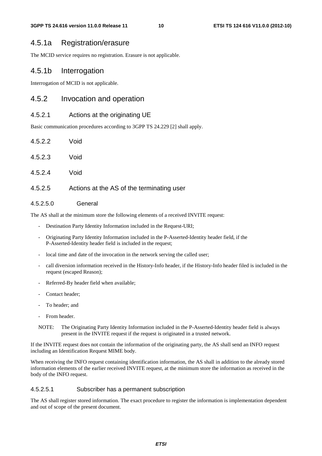#### 4.5.1a Registration/erasure

The MCID service requires no registration. Erasure is not applicable.

#### 4.5.1b Interrogation

Interrogation of MCID is not applicable.

#### 4.5.2 Invocation and operation

#### 4.5.2.1 Actions at the originating UE

Basic communication procedures according to 3GPP TS 24.229 [2] shall apply.

| 4.5.2.2 | Void      |
|---------|-----------|
| 4.5.2.3 | Void      |
| 4.5.2.4 | Void      |
| 4.5.2.5 | Actions a |

### at the AS of the terminating user

#### 4.5.2.5.0 General

The AS shall at the minimum store the following elements of a received INVITE request:

- Destination Party Identity Information included in the Request-URI;
- Originating Party Identity Information included in the P-Asserted-Identity header field, if the P-Asserted-Identity header field is included in the request;
- local time and date of the invocation in the network serving the called user;
- call diversion information received in the History-Info header, if the History-Info header filed is included in the request (escaped Reason);
- Referred-By header field when available;
- Contact header;
- To header; and
- From header.
- NOTE: The Originating Party Identity Information included in the P-Asserted-Identity header field is always present in the INVITE request if the request is originated in a trusted network.

If the INVITE request does not contain the information of the originating party, the AS shall send an INFO request including an Identification Request MIME body.

When receiving the INFO request containing identification information, the AS shall in addition to the already stored information elements of the earlier received INVITE request, at the minimum store the information as received in the body of the INFO request.

#### 4.5.2.5.1 Subscriber has a permanent subscription

The AS shall register stored information. The exact procedure to register the information is implementation dependent and out of scope of the present document.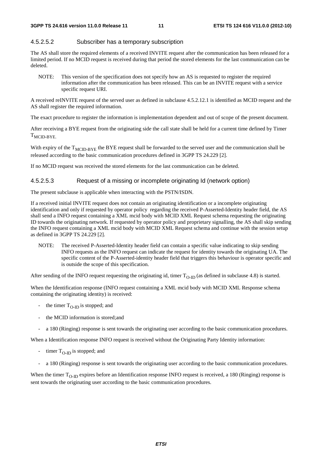#### 4.5.2.5.2 Subscriber has a temporary subscription

The AS shall store the required elements of a received INVITE request after the communication has been released for a limited period. If no MCID request is received during that period the stored elements for the last communication can be deleted.

NOTE: This version of the specification does not specify how an AS is requested to register the required information after the communication has been released. This can be an INVITE request with a service specific request URI.

A received reINVITE request of the served user as defined in subclause 4.5.2.12.1 is identified as MCID request and the AS shall register the required information.

The exact procedure to register the information is implementation dependent and out of scope of the present document.

After receiving a BYE request from the originating side the call state shall be held for a current time defined by Timer  $T_{MCID-BYE.}$ 

With expiry of the  $T_{MCID-BYE}$  the BYE request shall be forwarded to the served user and the communication shall be released according to the basic communication procedures defined in 3GPP TS 24.229 [2].

If no MCID request was received the stored elements for the last communication can be deleted.

#### 4.5.2.5.3 Request of a missing or incomplete originating Id (network option)

The present subclause is applicable when interacting with the PSTN/ISDN.

If a received initial INVITE request does not contain an originating identification or a incomplete originating identification and only if requested by operator policy regarding the received P-Asserted-Identity header field, the AS shall send a INFO request containing a XML mcid body with MCID XML Request schema requesting the originating ID towards the originating network. If requested by operator policy and proprietary signalling, the AS shall skip sending the INFO request containing a XML mcid body with MCID XML Request schema and continue with the session setup as defined in 3GPP TS 24.229 [2].

NOTE: The received P-Asserted-Identity header field can contain a specific value indicating to skip sending INFO requests as the INFO request can indicate the request for identity towards the originating UA. The specific content of the P-Asserted-identity header field that triggers this behaviour is operator specific and is outside the scope of this specification.

After sending of the INFO request requesting the originating id, timer  $T_{O-ID}$  (as defined in subclause 4.8) is started.

When the Identification response (INFO request containing a XML mcid body with MCID XML Response schema containing the originating identity) is received:

- the timer  $T_{\Omega\text{-ID}}$  is stopped; and
- the MCID information is stored; and
- a 180 (Ringing) response is sent towards the originating user according to the basic communication procedures.

When a Identification response INFO request is received without the Originating Party Identity information:

- timer  $T_{O-ID}$  is stopped; and
- a 180 (Ringing) response is sent towards the originating user according to the basic communication procedures.

When the timer  $T_{O-ID}$  expires before an Identification response INFO request is received, a 180 (Ringing) response is sent towards the originating user according to the basic communication procedures.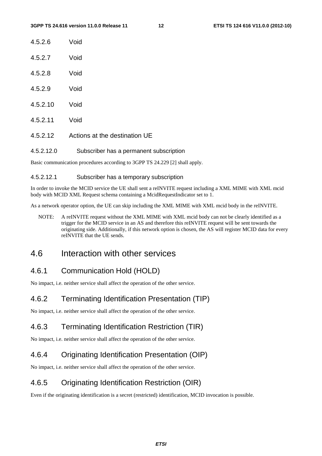| 4.5.2.6 | Void |
|---------|------|
| 4.5.2.7 | Void |
| 4.5.2.8 | Void |

- 4.5.2.9 Void
- 4.5.2.10 Void
- 4.5.2.11 Void
- 4.5.2.12 Actions at the destination UE
- 4.5.2.12.0 Subscriber has a permanent subscription

Basic communication procedures according to 3GPP TS 24.229 [2] shall apply.

#### 4.5.2.12.1 Subscriber has a temporary subscription

In order to invoke the MCID service the UE shall sent a reINVITE request including a XML MIME with XML mcid body with MCID XML Request schema containing a McidRequestIndicator set to 1.

As a network operator option, the UE can skip including the XML MIME with XML mcid body in the reINVITE.

NOTE: A reINVITE request without the XML MIME with XML mcid body can not be clearly identified as a trigger for the MCID service in an AS and therefore this reINVITE request will be sent towards the originating side. Additionally, if this network option is chosen, the AS will register MCID data for every reINVITE that the UE sends.

### 4.6 Interaction with other services

#### 4.6.1 Communication Hold (HOLD)

No impact, i.e. neither service shall affect the operation of the other service.

#### 4.6.2 Terminating Identification Presentation (TIP)

No impact, i.e. neither service shall affect the operation of the other service.

### 4.6.3 Terminating Identification Restriction (TIR)

No impact, i.e. neither service shall affect the operation of the other service.

#### 4.6.4 Originating Identification Presentation (OIP)

No impact, i.e. neither service shall affect the operation of the other service.

#### 4.6.5 Originating Identification Restriction (OIR)

Even if the originating identification is a secret (restricted) identification, MCID invocation is possible.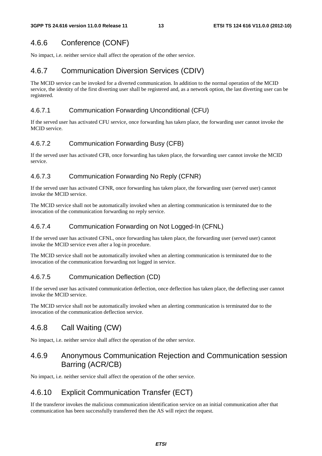### 4.6.6 Conference (CONF)

No impact, i.e. neither service shall affect the operation of the other service.

### 4.6.7 Communication Diversion Services (CDIV)

The MCID service can be invoked for a diverted communication. In addition to the normal operation of the MCID service, the identity of the first diverting user shall be registered and, as a network option, the last diverting user can be registered.

#### 4.6.7.1 Communication Forwarding Unconditional (CFU)

If the served user has activated CFU service, once forwarding has taken place, the forwarding user cannot invoke the MCID service.

#### 4.6.7.2 Communication Forwarding Busy (CFB)

If the served user has activated CFB, once forwarding has taken place, the forwarding user cannot invoke the MCID service.

#### 4.6.7.3 Communication Forwarding No Reply (CFNR)

If the served user has activated CFNR, once forwarding has taken place, the forwarding user (served user) cannot invoke the MCID service.

The MCID service shall not be automatically invoked when an alerting communication is terminated due to the invocation of the communication forwarding no reply service.

#### 4.6.7.4 Communication Forwarding on Not Logged-In (CFNL)

If the served user has activated CFNL, once forwarding has taken place, the forwarding user (served user) cannot invoke the MCID service even after a log-in procedure.

The MCID service shall not be automatically invoked when an alerting communication is terminated due to the invocation of the communication forwarding not logged in service.

#### 4.6.7.5 Communication Deflection (CD)

If the served user has activated communication deflection, once deflection has taken place, the deflecting user cannot invoke the MCID service.

The MCID service shall not be automatically invoked when an alerting communication is terminated due to the invocation of the communication deflection service.

### 4.6.8 Call Waiting (CW)

No impact, i.e. neither service shall affect the operation of the other service.

### 4.6.9 Anonymous Communication Rejection and Communication session Barring (ACR/CB)

No impact, i.e. neither service shall affect the operation of the other service.

### 4.6.10 Explicit Communication Transfer (ECT)

If the transferor invokes the malicious communication identification service on an initial communication after that communication has been successfully transferred then the AS will reject the request.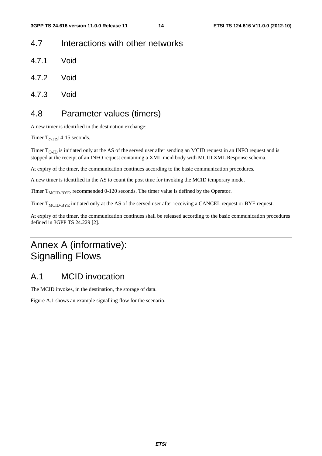### 4.7 Interactions with other networks

- 4.7.1 Void
- 4.7.2 Void
- 4.7.3 Void

### 4.8 Parameter values (timers)

A new timer is identified in the destination exchange:

Timer  $T_{O-ID}$ : 4-15 seconds.

Timer  $T_{O-ID}$  is initiated only at the AS of the served user after sending an MCID request in an INFO request and is stopped at the receipt of an INFO request containing a XML mcid body with MCID XML Response schema.

At expiry of the timer, the communication continues according to the basic communication procedures.

A new timer is identified in the AS to count the post time for invoking the MCID temporary mode.

Timer  $T_{\text{MCID-BYE:}}$  recommended 0-120 seconds. The timer value is defined by the Operator.

Timer T<sub>MCID-BYE</sub> initiated only at the AS of the served user after receiving a CANCEL request or BYE request.

At expiry of the timer, the communication continues shall be released according to the basic communication procedures defined in 3GPP TS 24.229 [2].

# Annex A (informative): Signalling Flows

### A.1 MCID invocation

The MCID invokes, in the destination, the storage of data.

Figure A.1 shows an example signalling flow for the scenario.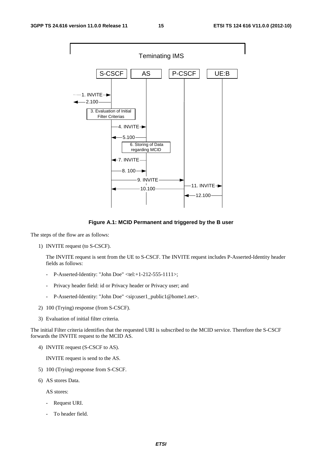

**Figure A.1: MCID Permanent and triggered by the B user** 

The steps of the flow are as follows:

1) INVITE request (to S-CSCF).

 The INVITE request is sent from the UE to S-CSCF. The INVITE request includes P-Asserted-Identity header fields as follows:

- P-Asserted-Identity: "John Doe" <tel:+1-212-555-1111>;
- Privacy header field: id or Privacy header or Privacy user; and
- P-Asserted-Identity: "John Doe" <sip:user1\_public1@home1.net>.
- 2) 100 (Trying) response (from S-CSCF).
- 3) Evaluation of initial filter criteria.

The initial Filter criteria identifies that the requested URI is subscribed to the MCID service. Therefore the S-CSCF forwards the INVITE request to the MCID AS.

4) INVITE request (S-CSCF to AS).

INVITE request is send to the AS.

- 5) 100 (Trying) response from S-CSCF.
- 6) AS stores Data.

AS stores:

- Request URI.
- To header field.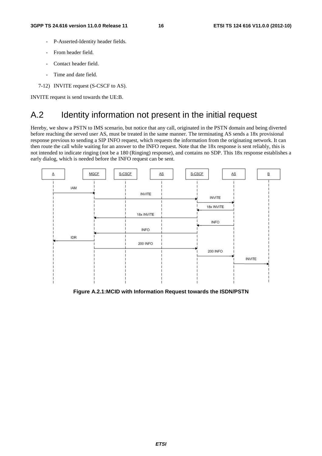- P-Asserted-Identity header fields.
- From header field.
- Contact header field.
- Time and date field.
- 7-12) INVITE request (S-CSCF to AS).

INVITE request is send towards the UE:B.

### A.2 Identity information not present in the initial request

Hereby, we show a PSTN to IMS scenario, but notice that any call, originated in the PSTN domain and being diverted before reaching the served user AS, must be treated in the same manner. The terminating AS sends a 18x provisional response previous to sending a SIP INFO request, which requests the information from the originating network. It can then route the call while waiting for an answer to the INFO request. Note that the 18x response is sent reliably, this is not intended to indicate ringing (not be a 180 (Ringing) response), and contains no SDP. This 18x response establishes a early dialog, which is needed before the INFO request can be sent.



**Figure A.2.1:MCID with Information Request towards the ISDN/PSTN**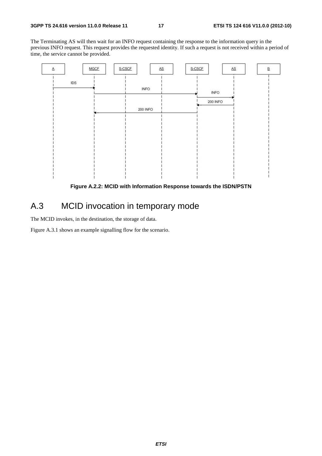The Terminating AS will then wait for an INFO request containing the response to the information query in the previous INFO request. This request provides the requested identity. If such a request is not received within a period of time, the service cannot be provided.



**Figure A.2.2: MCID with Information Response towards the ISDN/PSTN** 

### A.3 MCID invocation in temporary mode

The MCID invokes, in the destination, the storage of data.

Figure A.3.1 shows an example signalling flow for the scenario.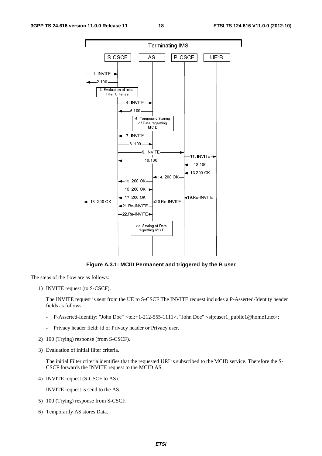

**Figure A.3.1: MCID Permanent and triggered by the B user** 

The steps of the flow are as follows:

1) INVITE request (to S-CSCF).

 The INVITE request is sent from the UE to S-CSCF The INVITE request includes a P-Asserted-Identity header fields as follows:

- P-Asserted-Identity: "John Doe" <tel:+1-212-555-1111>, "John Doe" <sip:user1\_public1@home1.net>;
- Privacy header field: id or Privacy header or Privacy user.
- 2) 100 (Trying) response (from S-CSCF).
- 3) Evaluation of initial filter criteria.

 The initial Filter criteria identifies that the requested URI is subscribed to the MCID service. Therefore the S-CSCF forwards the INVITE request to the MCID AS.

4) INVITE request (S-CSCF to AS).

INVITE request is send to the AS.

- 5) 100 (Trying) response from S-CSCF.
- 6) Temporarily AS stores Data.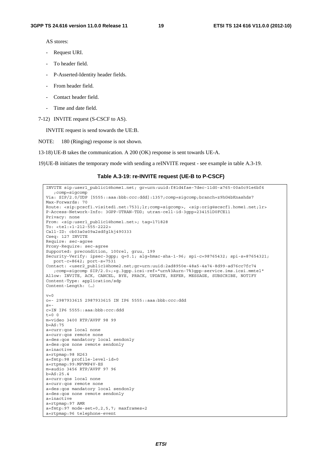AS stores:

- Request URI.
- To header field.
- P-Asserted-Identity header fields.
- From header field.
- Contact header field.
- Time and date field.
- 7-12) INVITE request (S-CSCF to AS).

INVITE request is send towards the UE:B.

NOTE: 180 (Ringing) response is not shown.

13-18) UE-B takes the communication. A 200 (OK) response is sent towards UE-A.

19) UE-B initiates the temporary mode with sending a reINVITE request - see example in table A.3-19.

#### **Table A.3-19: re-INVITE request (UE-B to P-CSCF)**

```
INVITE sip:user1_public1@home1.net; gr=urn:uuid:f81d4fae-7dec-11d0-a765-00a0c91e6bf6 
   ;comp=sigcomp 
Via: SIP/2.0/UDP [5555::aaa:bbb:ccc:ddd]:1357;comp=sigcomp;branch=z9hG4bKnashds7 
Max-Forwards: 70 
Route: <sip:pcscf1.visited1.net:7531;lr;comp=sigcomp>, <sip:orig@scscf1.home1.net;lr> 
P-Access-Network-Info: 3GPP-UTRAN-TDD; utran-cell-id-3gpp=234151D0FCE11 
Privacy: none 
From: <sip:user1 public1@home1.net>; tag=171828
To: <tel:+1-212-555-2222> 
Call-ID: cb03a0s09a2sdfglkj490333 
Cseq: 127 INVITE 
Require: sec-agree 
Proxy-Require: sec-agree 
Supported: precondition, 100rel, gruu, 199 
Security-Verify: ipsec-3gpp; q=0.1; alg=hmac-sha-1-96; spi-c=98765432; spi-s=87654321; 
  port-c=8642; port-s=7531 
Contact: <user2_public1@home2.net;gr=urn:uuid:2ad8950e-48a5-4a74-8d99-ad76cc7fc74 
  ;comp=sigcomp SIP/2.0>;+g.3gpp.icsi-ref="urn%3Aurn-7%3gpp-service.ims.icsi.mmtel" 
Allow: INVITE, ACK, CANCEL, BYE, PRACK, UPDATE, REFER, MESSAGE, SUBSCRIBE, NOTIFY 
Content-Type: application/sdp 
Content-Length: (…) 
v=0o=- 2987933615 2987933615 IN IP6 5555::aaa:bbb:ccc:ddd 
s=-c=IN IP6 5555::aaa:bbb:ccc:ddd 
t=0 0
m=video 3400 RTP/AVPF 98 99 
b=AS.75a=curr:qos local none 
a=curr:qos remote none 
a=des:qos mandatory local sendonly 
a=des:qos none remote sendonly 
a=inactive 
a=rtpmap:98 H263 
a=fmtp:98 profile-level-id=0 
a=rtpmap:99:MPVMP4V-ES 
m=audio 3456 RTP/AVPF 97 96 
b=AS:25.4a=curr:qos local none 
a=curr:qos remote none 
a=des:qos mandatory local sendonly 
a=des:qos none remote sendonly 
a=inactive 
a=rtpmap:97 AMR 
a=fmtp:97 mode-set=0, 2, 5, 7; maxframes=2
a=rtpmap:96 telephone-event
```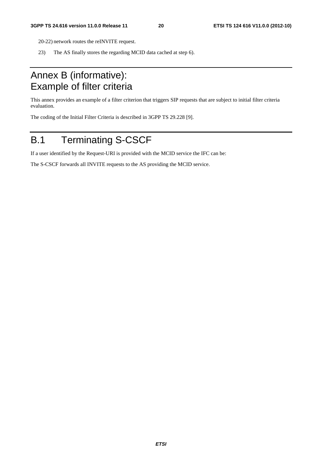- 20-22) network routes the reINVITE request.
- 23) The AS finally stores the regarding MCID data cached at step 6).

# Annex B (informative): Example of filter criteria

This annex provides an example of a filter criterion that triggers SIP requests that are subject to initial filter criteria evaluation.

The coding of the Initial Filter Criteria is described in 3GPP TS 29.228 [9].

# B.1 Terminating S-CSCF

If a user identified by the Request-URI is provided with the MCID service the IFC can be:

The S-CSCF forwards all INVITE requests to the AS providing the MCID service.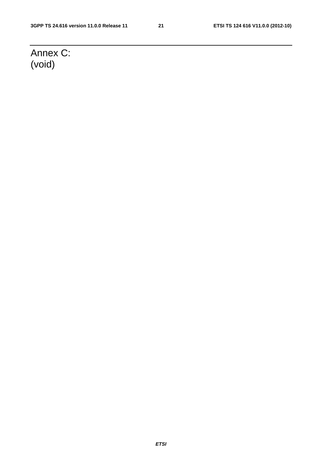# Annex C: (void)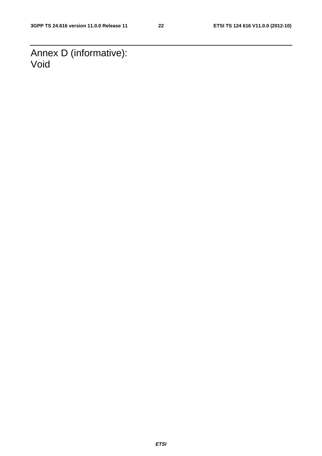Annex D (informative): Void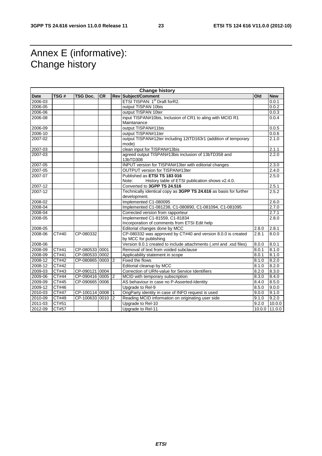# Annex E (informative): Change history

| <b>Change history</b> |              |                  |           |  |                                                                                       |       |               |
|-----------------------|--------------|------------------|-----------|--|---------------------------------------------------------------------------------------|-------|---------------|
| <b>Date</b>           | TSG#         | <b>TSG Doc.</b>  | <b>CR</b> |  | <b>Rev Subject/Comment</b>                                                            | Old   | <b>New</b>    |
| 2006-03               |              |                  |           |  | ETSI TISPAN: 1 <sup>st</sup> Draft forR2.                                             |       | 0.0.1         |
| 2006-05               |              |                  |           |  | output TISPAN 10bis                                                                   |       | 0.0.2         |
| 2006-06               |              |                  |           |  | output TISPAN 10ter                                                                   |       | 0.0.3         |
| 2006-08               |              |                  |           |  | input TISPAN#10bis, Inclusion of CR1 to aling with MCID R1                            |       | 0.0.4         |
|                       |              |                  |           |  | Maintanance                                                                           |       |               |
| 2006-09               |              |                  |           |  | output TISPAN#11bis                                                                   |       | 0.0.5         |
| 2006-10               |              |                  |           |  | output TISPAN#11ter                                                                   |       | 0.0.6         |
| $2007 - 02$           |              |                  |           |  | output TISPAN#12ter including 12tTD163r1 (addition of temporary<br>mode)              |       | 2.1.0         |
| 2007-03               |              |                  |           |  | clean input for TISPAN#13bis                                                          |       | 2.1.1         |
| 2007-03               |              |                  |           |  | agreed output TISPAN#13bis inclusion of 13bTD358 and<br>13bTD308                      |       | 2.2.0         |
| 2007-05               |              |                  |           |  | INPUT version for TISPAN#13ter with editorial changes                                 |       | 2.3.0         |
| 2007-05               |              |                  |           |  | OUTPUT version for TISPAN#13ter                                                       |       | 2.4.0         |
| 2007-07               |              |                  |           |  | Published as ETSI TS 183 016                                                          |       | 2.5.0         |
|                       |              |                  |           |  | Note:<br>History table of ETSI publication shows v2.4.0.                              |       |               |
| 2007-12               |              |                  |           |  | Converted to 3GPP TS 24.516                                                           |       | 2.5.1         |
| 2007-12               |              |                  |           |  | Technically identical copy as 3GPP TS 24.616 as basis for further<br>development.     |       | 2.5.2         |
| 2008-02               |              |                  |           |  | Implemented C1-080095                                                                 |       | 2.6.0         |
| 2008-04               |              |                  |           |  | Implemented C1-081238, C1-080890, C1-081094, C1-081095                                |       | 2.7.0         |
| 2008-04               |              |                  |           |  | Corrected version from rapporteur                                                     |       | 2.7.1         |
| 2008-05               |              |                  |           |  | Implemented C1-81559, C1-81834                                                        |       | 2.8.0         |
|                       |              |                  |           |  | Incorporation of comments from ETSI Edit help                                         |       |               |
| 2008-05               |              |                  |           |  | Editorial changes done by MCC                                                         | 2.8.0 | 2.8.1         |
| 2008-06               | CT#40        | CP-080332        |           |  | CP-080332 was approved by CT#40 and version 8.0.0 is created<br>by MCC for publishing | 2.8.1 | 8.0.0         |
| 2008-06               |              |                  |           |  | Version 8.0.1 created to include attachments (.xml and .xsd files)                    | 8.0.0 | 8.0.1         |
| 2008-09               | CT#41        | CP-080533 0001   |           |  | Removal of text from voided subclause                                                 | 8.0.1 | 8.1.0         |
| 2008-09               | CT#41        | CP-080533 0002   |           |  | Applicability statement in scope                                                      | 8.0.1 | 8.1.0         |
| 2008-12               | <b>CT#42</b> | CP-080865 0003 2 |           |  | Fixed the flows                                                                       | 8.1.0 | 8.2.0         |
| $2008 - 12$           | CT#42        |                  |           |  | Editorial cleanup by MCC                                                              | 8.1.0 | 8.2.0         |
| 2009-03               | CT#43        | CP-090121 0004   |           |  | Correction of URN-value for Service Identifiers                                       | 8.2.0 | 8.3.0         |
| 2009-06               | CT#44        | CP-090416 0005 2 |           |  | MCID with temporary subscription                                                      | 8.3.0 | 8.4.0         |
| 2009-09               | CT#45        | CP-090665 0006   |           |  | AS behaviour in case no P-Asserted-Identity                                           | 8.4.0 | 8.5.0         |
| 2009-12               | CT#46        |                  |           |  | Upgrade to Rel-9                                                                      | 8.5.0 | 9.0.0         |
| 2010-03               | CT#47        | CP-100114 0008 1 |           |  | OrigParty identity in case of INFO request is used                                    | 9.0.0 | 9.1.0         |
| 2010-09               | CT#49        | CP-100633 0010 2 |           |  | Reading MCID information on originating user side                                     | 9.1.0 | 9.2.0         |
| 2011-03               | CT#51        |                  |           |  | Upgrade to Rel-10                                                                     | 9.2.0 | 10.0.0        |
| 2012-09               | CT#57        |                  |           |  | Upgrade to Rel-11                                                                     |       | 10.0.0 11.0.0 |